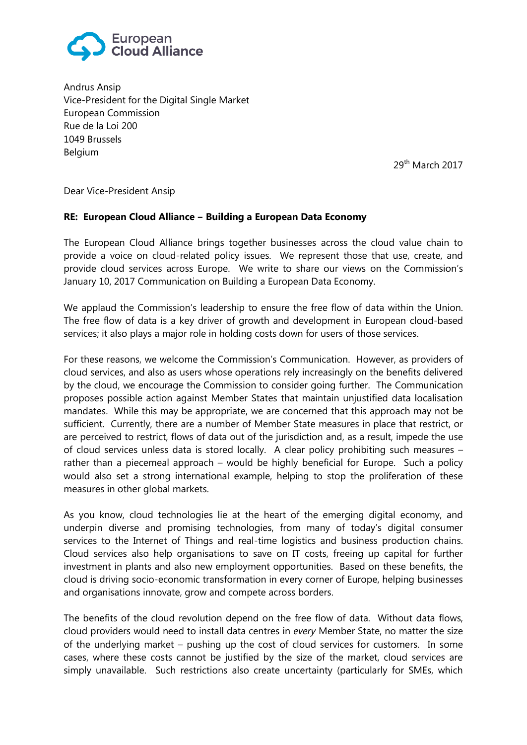

Andrus Ansip Vice-President for the Digital Single Market European Commission Rue de la Loi 200 1049 Brussels Belgium

29th March 2017

Dear Vice-President Ansip

## **RE: European Cloud Alliance ‒ Building a European Data Economy**

The European Cloud Alliance brings together businesses across the cloud value chain to provide a voice on cloud-related policy issues. We represent those that use, create, and provide cloud services across Europe. We write to share our views on the Commission's January 10, 2017 Communication on Building a European Data Economy.

We applaud the Commission's leadership to ensure the free flow of data within the Union. The free flow of data is a key driver of growth and development in European cloud-based services; it also plays a major role in holding costs down for users of those services.

For these reasons, we welcome the Commission's Communication. However, as providers of cloud services, and also as users whose operations rely increasingly on the benefits delivered by the cloud, we encourage the Commission to consider going further. The Communication proposes possible action against Member States that maintain unjustified data localisation mandates. While this may be appropriate, we are concerned that this approach may not be sufficient. Currently, there are a number of Member State measures in place that restrict, or are perceived to restrict, flows of data out of the jurisdiction and, as a result, impede the use of cloud services unless data is stored locally. A clear policy prohibiting such measures – rather than a piecemeal approach – would be highly beneficial for Europe. Such a policy would also set a strong international example, helping to stop the proliferation of these measures in other global markets.

As you know, cloud technologies lie at the heart of the emerging digital economy, and underpin diverse and promising technologies, from many of today's digital consumer services to the Internet of Things and real-time logistics and business production chains. Cloud services also help organisations to save on IT costs, freeing up capital for further investment in plants and also new employment opportunities. Based on these benefits, the cloud is driving socio-economic transformation in every corner of Europe, helping businesses and organisations innovate, grow and compete across borders.

The benefits of the cloud revolution depend on the free flow of data. Without data flows, cloud providers would need to install data centres in *every* Member State, no matter the size of the underlying market – pushing up the cost of cloud services for customers. In some cases, where these costs cannot be justified by the size of the market, cloud services are simply unavailable. Such restrictions also create uncertainty (particularly for SMEs, which